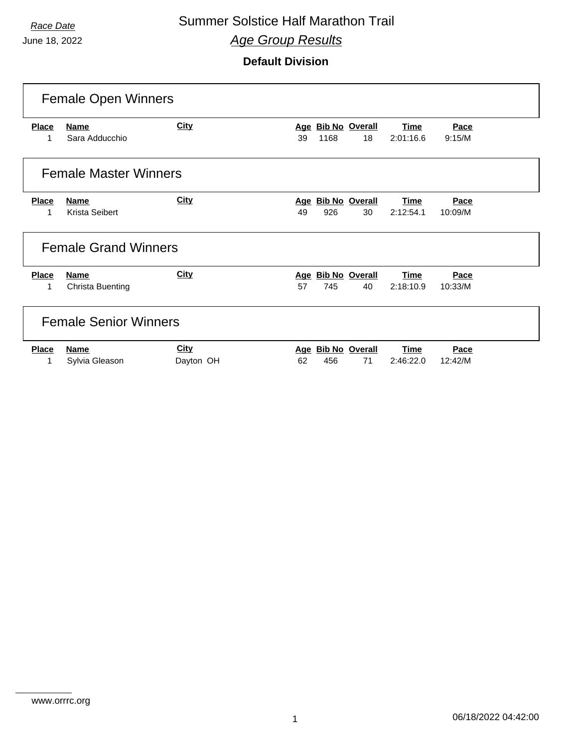## **Race Date Summer Solstice Half Marathon Trail** *Age Group Results*

|              | <b>Female Open Winners</b>   |             |     |      |                       |             |         |  |  |  |
|--------------|------------------------------|-------------|-----|------|-----------------------|-------------|---------|--|--|--|
| <b>Place</b> | <b>Name</b>                  | <b>City</b> |     |      | Age Bib No Overall    | <b>Time</b> | Pace    |  |  |  |
|              | Sara Adducchio               |             | 39  | 1168 | 18                    | 2:01:16.6   | 9:15/M  |  |  |  |
|              | <b>Female Master Winners</b> |             |     |      |                       |             |         |  |  |  |
| <b>Place</b> | <b>Name</b>                  | <b>City</b> |     |      | Age Bib No Overall    | <b>Time</b> | Pace    |  |  |  |
| 1            | Krista Seibert               |             | 49  | 926  | 30                    | 2:12:54.1   | 10:09/M |  |  |  |
|              | <b>Female Grand Winners</b>  |             |     |      |                       |             |         |  |  |  |
| <b>Place</b> | <b>Name</b>                  | <b>City</b> | Age |      | <b>Bib No Overall</b> | <b>Time</b> | Pace    |  |  |  |
| 1            | <b>Christa Buenting</b>      |             | 57  | 745  | 40                    | 2:18:10.9   | 10:33/M |  |  |  |
|              | <b>Female Senior Winners</b> |             |     |      |                       |             |         |  |  |  |
| <b>Place</b> | <b>Name</b>                  | <b>City</b> | Age |      | <b>Bib No Overall</b> | <b>Time</b> | Pace    |  |  |  |
| 1            | Sylvia Gleason               | Dayton OH   | 62  | 456  | 71                    | 2:46:22.0   | 12:42/M |  |  |  |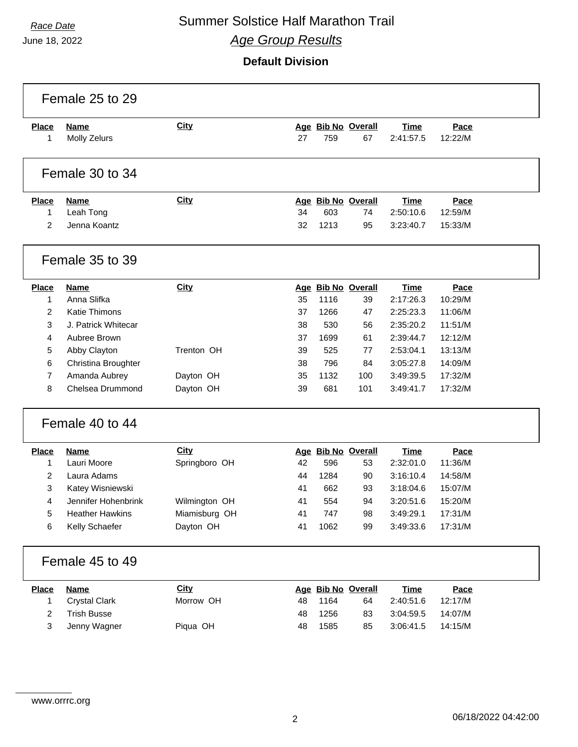## **Race Date Summer Solstice Half Marathon Trail** *Age Group Results*

June 18, 2022

 $\Gamma$ 

#### **Default Division**

|                   | Female 25 to 29             |               |    |      |                          |                          |                 |  |
|-------------------|-----------------------------|---------------|----|------|--------------------------|--------------------------|-----------------|--|
| <b>Place</b><br>1 | <b>Name</b><br>Molly Zelurs | <b>City</b>   | 27 | 759  | Age Bib No Overall<br>67 | <b>Time</b><br>2:41:57.5 | Pace<br>12:22/M |  |
|                   | Female 30 to 34             |               |    |      |                          |                          |                 |  |
| <b>Place</b>      | <b>Name</b>                 | <b>City</b>   |    |      | Age Bib No Overall       | <b>Time</b>              | Pace            |  |
| 1                 | Leah Tong                   |               | 34 | 603  | 74                       | 2:50:10.6                | 12:59/M         |  |
| $\overline{2}$    | Jenna Koantz                |               | 32 | 1213 | 95                       | 3:23:40.7                | 15:33/M         |  |
|                   | Female 35 to 39             |               |    |      |                          |                          |                 |  |
| <b>Place</b>      | <b>Name</b>                 | <b>City</b>   |    |      | Age Bib No Overall       | <b>Time</b>              | Pace            |  |
| 1                 | Anna Slifka                 |               | 35 | 1116 | 39                       | 2:17:26.3                | 10:29/M         |  |
| $\overline{2}$    | <b>Katie Thimons</b>        |               | 37 | 1266 | 47                       | 2:25:23.3                | 11:06/M         |  |
| 3                 | J. Patrick Whitecar         |               | 38 | 530  | 56                       | 2:35:20.2                | 11:51/M         |  |
| 4                 | Aubree Brown                |               | 37 | 1699 | 61                       | 2:39:44.7                | 12:12/M         |  |
| 5                 | Abby Clayton                | Trenton OH    | 39 | 525  | 77                       | 2:53:04.1                | 13:13/M         |  |
| 6                 | Christina Broughter         |               | 38 | 796  | 84                       | 3:05:27.8                | 14:09/M         |  |
| 7                 | Amanda Aubrey               | Dayton OH     | 35 | 1132 | 100                      | 3:49:39.5                | 17:32/M         |  |
| 8                 | Chelsea Drummond            | Dayton OH     | 39 | 681  | 101                      | 3:49:41.7                | 17:32/M         |  |
|                   | Female 40 to 44             |               |    |      |                          |                          |                 |  |
| <b>Place</b>      | <b>Name</b>                 | <b>City</b>   |    |      | Age Bib No Overall       | <b>Time</b>              | Pace            |  |
| 1                 | Lauri Moore                 | Springboro OH | 42 | 596  | 53                       | 2:32:01.0                | 11:36/M         |  |
| 2                 | Laura Adams                 |               | 44 | 1284 | 90                       | 3:16:10.4                | 14:58/M         |  |
| 3                 | Katey Wisniewski            |               | 41 | 662  | 93                       | 3:18:04.6                | 15:07/M         |  |
| 4                 | Jennifer Hohenbrink         | Wilmington OH | 41 | 554  | 94                       | 3:20:51.6                | 15:20/M         |  |
| 5                 | <b>Heather Hawkins</b>      | Miamisburg OH | 41 | 747  | 98                       | 3:49:29.1                | 17:31/M         |  |
| 6                 | Kelly Schaefer              | Dayton OH     | 41 | 1062 | 99                       | 3:49:33.6                | 17:31/M         |  |
|                   | Female 45 to 49             |               |    |      |                          |                          |                 |  |
| <b>Place</b>      | <b>Name</b>                 | <b>City</b>   |    |      | Age Bib No Overall       | <b>Time</b>              | Pace            |  |
| 1                 | <b>Crystal Clark</b>        | Morrow OH     | 48 | 1164 | 64                       | 2:40:51.6                | 12:17/M         |  |
| 2                 | <b>Trish Busse</b>          |               | 48 | 1256 | 83                       | 3:04:59.5                | 14:07/M         |  |
| 3                 | Jenny Wagner                | Piqua OH      | 48 | 1585 | 85                       | 3:06:41.5                | 14:15/M         |  |
|                   |                             |               |    |      |                          |                          |                 |  |

٦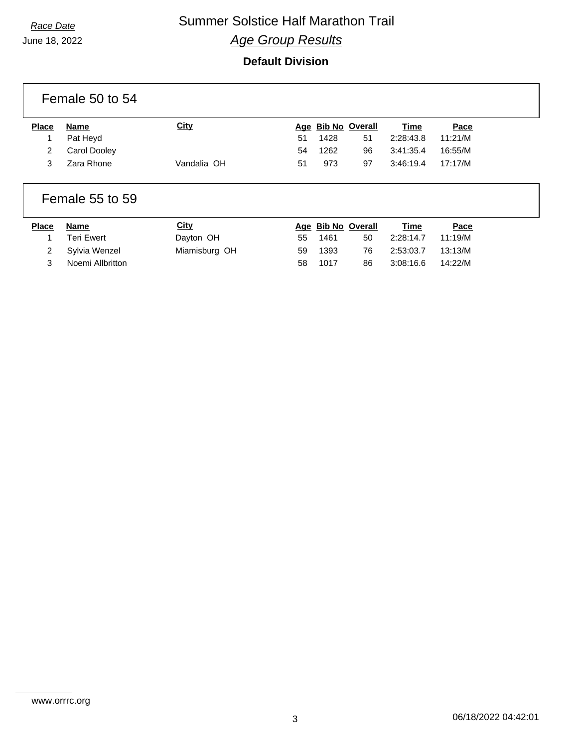## **Race Date Summer Solstice Half Marathon Trail** *Age Group Results*

|              | Female 50 to 54 |             |    |                    |                    |             |         |
|--------------|-----------------|-------------|----|--------------------|--------------------|-------------|---------|
| <b>Place</b> | <b>Name</b>     | <b>City</b> |    |                    | Age Bib No Overall | <b>Time</b> | Pace    |
|              | Pat Heyd        |             | 51 | 1428               | 51                 | 2:28:43.8   | 11:21/M |
| 2            | Carol Dooley    |             | 54 | 1262               | 96                 | 3:41:35.4   | 16:55/M |
| 3            | Zara Rhone      | Vandalia OH | 51 | 973                | 97                 | 3:46:19.4   | 17:17/M |
|              | Female 55 to 59 |             |    |                    |                    |             |         |
| <b>Place</b> | <b>Name</b>     | <b>City</b> |    | Age Bib No Overall |                    | Time        | Pace    |

| Place | Name             | <u>City</u>   |     |      | Age Bib No Overall | Time      | Pace    |
|-------|------------------|---------------|-----|------|--------------------|-----------|---------|
|       | Teri Ewert       | Dayton OH     | 55  | 1461 | 50                 | 2:28:14.7 | 11:19/M |
| 2     | Sylvia Wenzel    | Miamisburg OH | 59  | 1393 | 76.                | 2:53:03.7 | 13:13/M |
|       | Noemi Allbritton |               | 58. | 1017 | 86                 | 3:08:16.6 | 14:22/M |

www.orrrc.org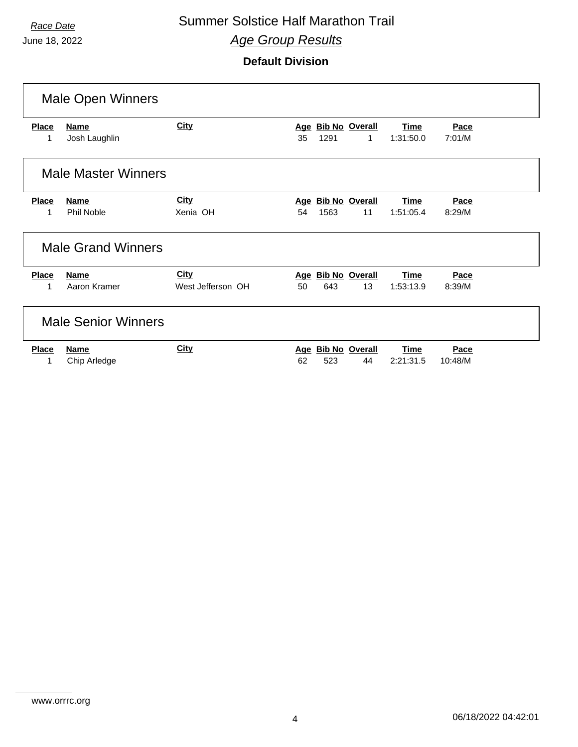## **Race Date Summer Solstice Half Marathon Trail** *Age Group Results*

|                            | <b>Male Open Winners</b>     |                   |     |      |                                    |                          |                |  |
|----------------------------|------------------------------|-------------------|-----|------|------------------------------------|--------------------------|----------------|--|
| <b>Place</b><br>1          | <b>Name</b><br>Josh Laughlin | <b>City</b>       | 35  | 1291 | Age Bib No Overall<br>$\mathbf{1}$ | <b>Time</b><br>1:31:50.0 | Pace<br>7:01/M |  |
|                            | <b>Male Master Winners</b>   |                   |     |      |                                    |                          |                |  |
| <b>Place</b>               | Name                         | <b>City</b>       | Age |      | <b>Bib No Overall</b>              | <b>Time</b>              | Pace           |  |
| 1                          | Phil Noble                   | Xenia OH          | 54  | 1563 | 11                                 | 1:51:05.4                | 8:29/M         |  |
|                            | <b>Male Grand Winners</b>    |                   |     |      |                                    |                          |                |  |
| <b>Place</b>               | <b>Name</b>                  | <b>City</b>       |     |      | Age Bib No Overall                 | <b>Time</b>              | Pace           |  |
|                            | Aaron Kramer                 | West Jefferson OH | 50  | 643  | 13                                 | 1:53:13.9                | 8:39/M         |  |
| <b>Male Senior Winners</b> |                              |                   |     |      |                                    |                          |                |  |
| <b>Place</b>               | <b>Name</b>                  | <b>City</b>       | Age |      | <b>Bib No Overall</b>              | <b>Time</b>              | Pace           |  |
|                            | Chip Arledge                 |                   | 62  | 523  | 44                                 | 2:21:31.5                | 10:48/M        |  |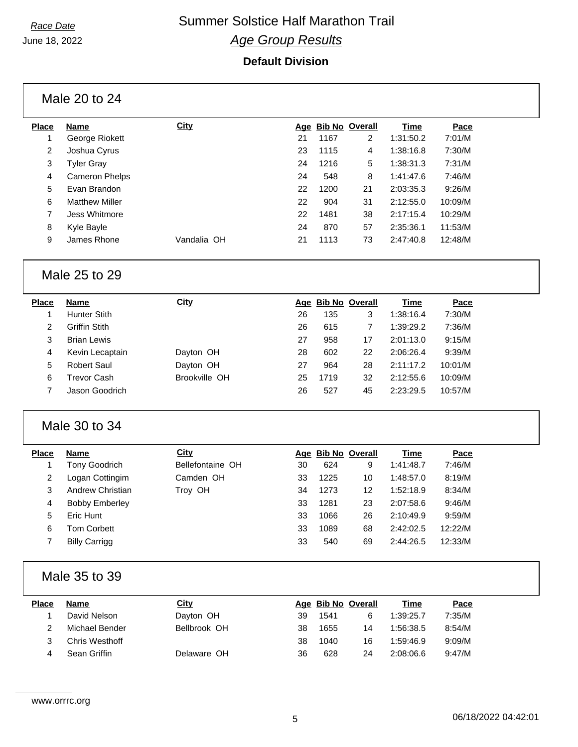## **Race Date Summer Solstice Half Marathon Trail** *Age Group Results*

#### **Default Division**

Male 20 to 24

| Place          | <b>Name</b>           | <b>City</b> |    |      | Age Bib No Overall | Time      | Pace    |
|----------------|-----------------------|-------------|----|------|--------------------|-----------|---------|
|                | George Riokett        |             | 21 | 1167 | 2                  | 1:31:50.2 | 7:01/M  |
| $\overline{2}$ | Joshua Cyrus          |             | 23 | 1115 | 4                  | 1:38:16.8 | 7:30/M  |
| 3              | <b>Tyler Gray</b>     |             | 24 | 1216 | 5                  | 1:38:31.3 | 7:31/M  |
| 4              | Cameron Phelps        |             | 24 | 548  | 8                  | 1:41:47.6 | 7:46/M  |
| 5              | Evan Brandon          |             | 22 | 1200 | 21                 | 2:03:35.3 | 9:26/M  |
| 6              | <b>Matthew Miller</b> |             | 22 | 904  | 31                 | 2:12:55.0 | 10:09/M |
| 7              | Jess Whitmore         |             | 22 | 1481 | 38                 | 2:17:15.4 | 10:29/M |
| 8              | Kyle Bayle            |             | 24 | 870  | 57                 | 2:35:36.1 | 11:53/M |
| 9              | James Rhone           | Vandalia OH | 21 | 1113 | 73                 | 2:47:40.8 | 12:48/M |
|                |                       |             |    |      |                    |           |         |

#### Male 25 to 29

| Place | Name                 | <b>City</b>   |    | Age Bib No Overall |    | Time      | Pace    |
|-------|----------------------|---------------|----|--------------------|----|-----------|---------|
|       | <b>Hunter Stith</b>  |               | 26 | 135                | 3  | 1:38:16.4 | 7:30/M  |
| 2     | <b>Griffin Stith</b> |               | 26 | 615                |    | 1:39:29.2 | 7:36/M  |
| 3     | <b>Brian Lewis</b>   |               | 27 | 958                | 17 | 2:01:13.0 | 9:15/M  |
| 4     | Kevin Lecaptain      | Dayton OH     | 28 | 602                | 22 | 2:06:26.4 | 9:39/M  |
| 5     | Robert Saul          | Dayton OH     | 27 | 964                | 28 | 2:11:17.2 | 10:01/M |
| 6     | Trevor Cash          | Brookville OH | 25 | 1719               | 32 | 2:12:55.6 | 10:09/M |
|       | Jason Goodrich       |               | 26 | 527                | 45 | 2:23:29.5 | 10:57/M |
|       |                      |               |    |                    |    |           |         |

#### Male 30 to 34

| <b>Place</b> | <b>Name</b>           | City             |    | Age Bib No Overall |    | Time      | Pace    |
|--------------|-----------------------|------------------|----|--------------------|----|-----------|---------|
|              | Tony Goodrich         | Bellefontaine OH | 30 | 624                | 9  | 1:41:48.7 | 7:46/M  |
| 2            | Logan Cottingim       | Camden OH        | 33 | 1225               | 10 | 1:48:57.0 | 8:19/M  |
| 3            | Andrew Christian      | Troy OH          | 34 | 1273               | 12 | 1:52:18.9 | 8:34/M  |
| 4            | <b>Bobby Emberley</b> |                  | 33 | 1281               | 23 | 2:07:58.6 | 9:46/M  |
| 5            | Eric Hunt             |                  | 33 | 1066               | 26 | 2:10:49.9 | 9:59/M  |
| 6            | Tom Corbett           |                  | 33 | 1089               | 68 | 2:42:02.5 | 12:22/M |
|              | <b>Billy Carrigg</b>  |                  | 33 | 540                | 69 | 2:44:26.5 | 12:33/M |

### Male 35 to 39

| <b>Place</b> | Name           | <u>City</u>  |    | Age Bib No Overall |    | <u>Time</u> | Pace   |
|--------------|----------------|--------------|----|--------------------|----|-------------|--------|
|              | David Nelson   | Dayton OH    | 39 | 1541               | 6  | 1:39:25.7   | 7:35/M |
|              | Michael Bender | Bellbrook OH | 38 | 1655               | 14 | 1:56:38.5   | 8:54/M |
|              | Chris Westhoff |              | 38 | 1040               | 16 | 1:59:46.9   | 9:09/M |
|              | Sean Griffin   | Delaware OH  | 36 | 628                | 24 | 2:08:06.6   | 9:47/M |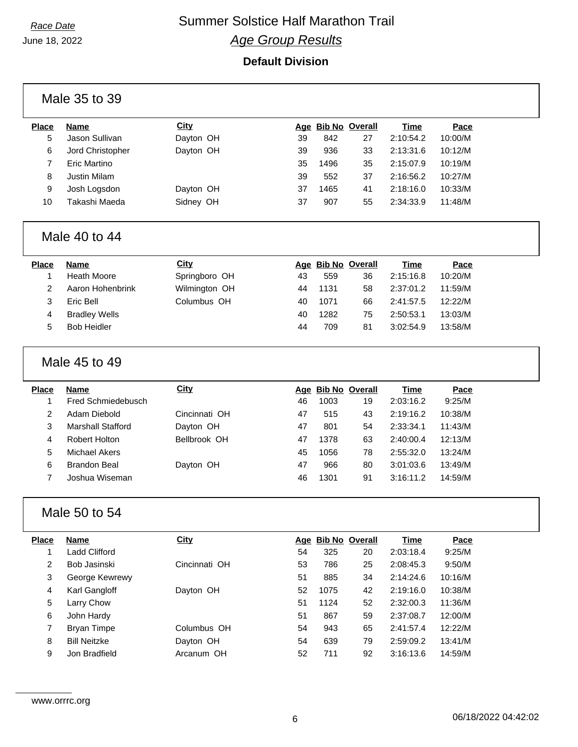$\Gamma$ 

## **Race Date** Summer Solstice Half Marathon Trail *Age Group Results*

|                | Male 35 to 39            |               |    |      |                    |             |         |  |
|----------------|--------------------------|---------------|----|------|--------------------|-------------|---------|--|
| <b>Place</b>   | <b>Name</b>              | <b>City</b>   |    |      | Age Bib No Overall | <b>Time</b> | Pace    |  |
| 5              | Jason Sullivan           | Dayton OH     | 39 | 842  | 27                 | 2:10:54.2   | 10:00/M |  |
| 6              | Jord Christopher         | Dayton OH     | 39 | 936  | 33                 | 2:13:31.6   | 10:12/M |  |
| 7              | Eric Martino             |               | 35 | 1496 | 35                 | 2:15:07.9   | 10:19/M |  |
| 8              | Justin Milam             |               | 39 | 552  | 37                 | 2:16:56.2   | 10:27/M |  |
| 9              | Josh Logsdon             | Dayton OH     | 37 | 1465 | 41                 | 2:18:16.0   | 10:33/M |  |
| 10             | Takashi Maeda            | Sidney OH     | 37 | 907  | 55                 | 2:34:33.9   | 11:48/M |  |
|                | Male 40 to 44            |               |    |      |                    |             |         |  |
| <b>Place</b>   | <b>Name</b>              | <b>City</b>   |    |      | Age Bib No Overall | <b>Time</b> | Pace    |  |
| $\mathbf 1$    | <b>Heath Moore</b>       | Springboro OH | 43 | 559  | 36                 | 2:15:16.8   | 10:20/M |  |
| $\overline{c}$ | Aaron Hohenbrink         | Wilmington OH | 44 | 1131 | 58                 | 2:37:01.2   | 11:59/M |  |
| 3              | Eric Bell                | Columbus OH   | 40 | 1071 | 66                 | 2:41:57.5   | 12:22/M |  |
| 4              | <b>Bradley Wells</b>     |               | 40 | 1282 | 75                 | 2:50:53.1   | 13:03/M |  |
| 5              | <b>Bob Heidler</b>       |               | 44 | 709  | 81                 | 3:02:54.9   | 13:58/M |  |
|                | Male 45 to 49            |               |    |      |                    |             |         |  |
|                |                          |               |    |      |                    |             |         |  |
| <b>Place</b>   | <b>Name</b>              | <b>City</b>   |    |      | Age Bib No Overall | <b>Time</b> | Pace    |  |
| 1              | Fred Schmiedebusch       |               | 46 | 1003 | 19                 | 2:03:16.2   | 9:25/M  |  |
| $\overline{2}$ | Adam Diebold             | Cincinnati OH | 47 | 515  | 43                 | 2:19:16.2   | 10:38/M |  |
| 3              | <b>Marshall Stafford</b> | Dayton OH     | 47 | 801  | 54                 | 2:33:34.1   | 11:43/M |  |
| 4              | <b>Robert Holton</b>     | Bellbrook OH  | 47 | 1378 | 63                 | 2:40:00.4   | 12:13/M |  |
| 5              | <b>Michael Akers</b>     |               | 45 | 1056 | 78                 | 2:55:32.0   | 13:24/M |  |
| 6              | <b>Brandon Beal</b>      | Dayton OH     | 47 | 966  | 80                 | 3:01:03.6   | 13:49/M |  |
| $\overline{7}$ | Joshua Wiseman           |               | 46 | 1301 | 91                 | 3:16:11.2   | 14:59/M |  |
|                | Male 50 to 54            |               |    |      |                    |             |         |  |
| <b>Place</b>   | <b>Name</b>              | <b>City</b>   |    |      | Age Bib No Overall | <b>Time</b> | Pace    |  |
| 1              | Ladd Clifford            |               | 54 | 325  | 20                 | 2:03:18.4   | 9:25/M  |  |
| $\overline{2}$ | Bob Jasinski             | Cincinnati OH | 53 | 786  | 25                 | 2:08:45.3   | 9:50/M  |  |
| 3              | George Kewrewy           |               | 51 | 885  | 34                 | 2:14:24.6   | 10:16/M |  |
| 4              | Karl Gangloff            | Dayton OH     | 52 | 1075 | 42                 | 2:19:16.0   | 10:38/M |  |
| $\sqrt{5}$     | Larry Chow               |               | 51 | 1124 | 52                 | 2:32:00.3   | 11:36/M |  |
| 6              | John Hardy               |               | 51 | 867  | 59                 | 2:37:08.7   | 12:00/M |  |
| $\overline{7}$ | <b>Bryan Timpe</b>       | Columbus OH   | 54 | 943  | 65                 | 2:41:57.4   | 12:22/M |  |
| 8              | <b>Bill Neitzke</b>      | Dayton OH     | 54 | 639  | 79                 | 2:59:09.2   | 13:41/M |  |